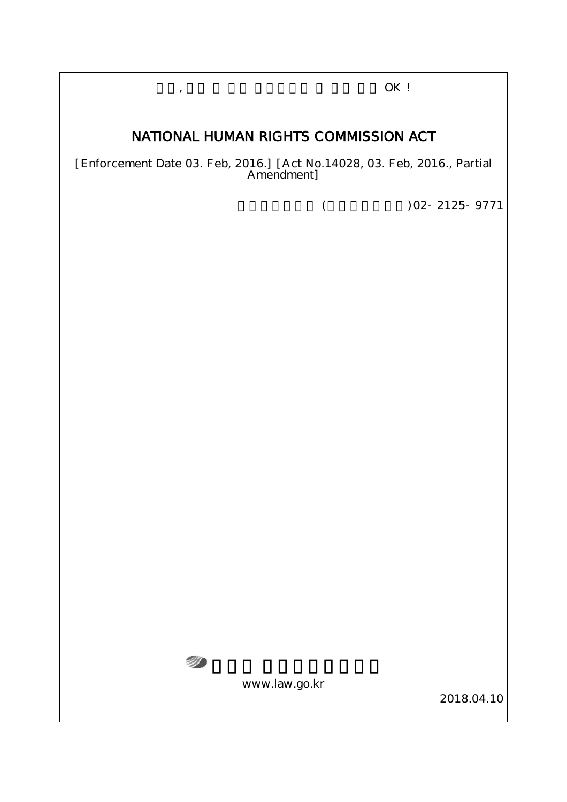,  $OK!$ 

# NATIONAL HUMAN RIGHTS COMMISSION ACT

[Enforcement Date 03. Feb, 2016.] [Act No.14028, 03. Feb, 2016., Partial Amendment]

 $($   $)$  02-2125-9771



www.law.go.kr

2018.04.10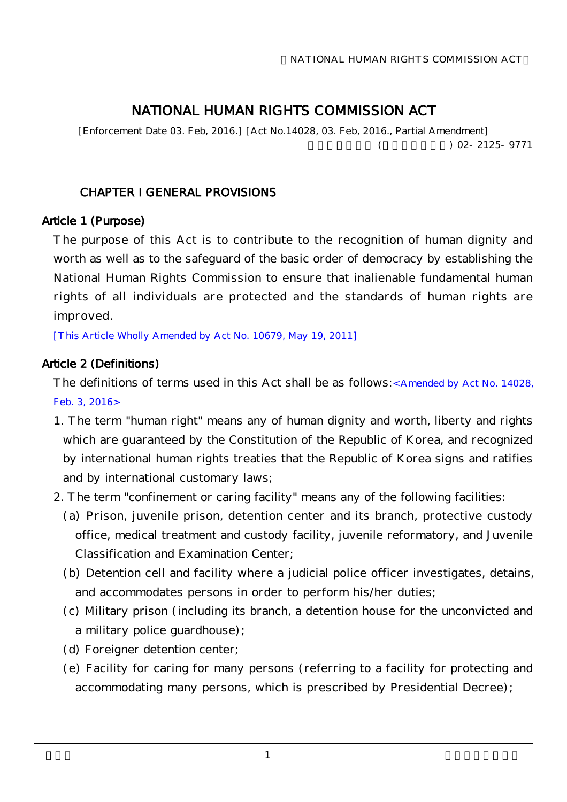# NATIONAL HUMAN RIGHTS COMMISSION ACT

[Enforcement Date 03. Feb, 2016.] [Act No.14028, 03. Feb, 2016., Partial Amendment]  $($  02-2125-9771

### CHAPTER I GENERAL PROVISIONS

#### Article 1 (Purpose)

The purpose of this Act is to contribute to the recognition of human dignity and worth as well as to the safeguard of the basic order of democracy by establishing the National Human Rights Commission to ensure that inalienable fundamental human rights of all individuals are protected and the standards of human rights are improved.

[This Article Wholly Amended by Act No. 10679, May 19, 2011]

### Article 2 (Definitions)

The definitions of terms used in this Act shall be as follows: Amended by Act No. 14028. Feb. 3, 2016>

- 1. The term "human right" means any of human dignity and worth, liberty and rights which are guaranteed by the Constitution of the Republic of Korea, and recognized by international human rights treaties that the Republic of Korea signs and ratifies and by international customary laws;
- 2. The term "confinement or caring facility" means any of the following facilities:
	- (a) Prison, juvenile prison, detention center and its branch, protective custody office, medical treatment and custody facility, juvenile reformatory, and Juvenile Classification and Examination Center;
	- (b) Detention cell and facility where a judicial police officer investigates, detains, and accommodates persons in order to perform his/her duties;
	- (c) Military prison (including its branch, a detention house for the unconvicted and a military police guardhouse);
	- (d) Foreigner detention center;
	- (e) Facility for caring for many persons (referring to a facility for protecting and accommodating many persons, which is prescribed by Presidential Decree);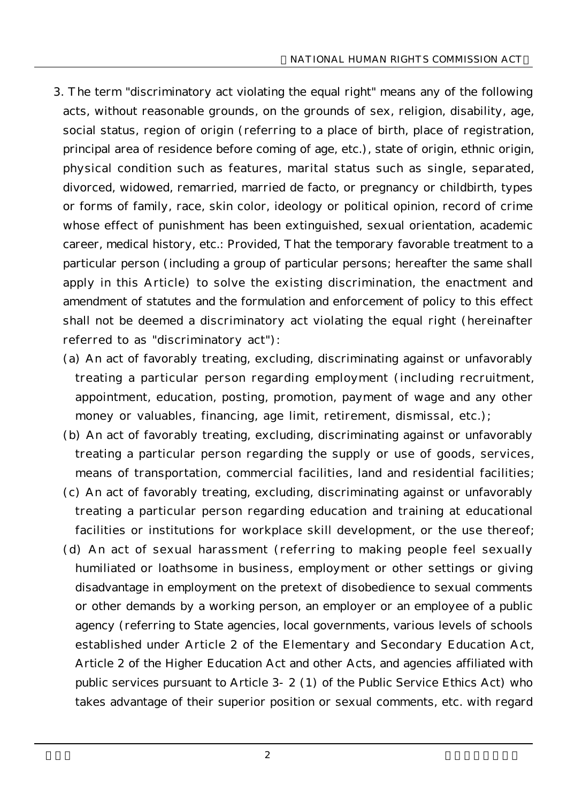- 3. The term "discriminatory act violating the equal right" means any of the following acts, without reasonable grounds, on the grounds of sex, religion, disability, age, social status, region of origin (referring to a place of birth, place of registration, principal area of residence before coming of age, etc.), state of origin, ethnic origin, physical condition such as features, marital status such as single, separated, divorced, widowed, remarried, married de facto, or pregnancy or childbirth, types or forms of family, race, skin color, ideology or political opinion, record of crime whose effect of punishment has been extinguished, sexual orientation, academic career, medical history, etc.: Provided, That the temporary favorable treatment to a particular person (including a group of particular persons; hereafter the same shall apply in this Article) to solve the existing discrimination, the enactment and amendment of statutes and the formulation and enforcement of policy to this effect shall not be deemed a discriminatory act violating the equal right (hereinafter referred to as "discriminatory act"):
	- (a) An act of favorably treating, excluding, discriminating against or unfavorably treating a particular person regarding employment (including recruitment, appointment, education, posting, promotion, payment of wage and any other money or valuables, financing, age limit, retirement, dismissal, etc.);
	- (b) An act of favorably treating, excluding, discriminating against or unfavorably treating a particular person regarding the supply or use of goods, services, means of transportation, commercial facilities, land and residential facilities;
	- (c) An act of favorably treating, excluding, discriminating against or unfavorably treating a particular person regarding education and training at educational facilities or institutions for workplace skill development, or the use thereof;
	- (d) An act of sexual harassment (referring to making people feel sexually humiliated or loathsome in business, employment or other settings or giving disadvantage in employment on the pretext of disobedience to sexual comments or other demands by a working person, an employer or an employee of a public agency (referring to State agencies, local governments, various levels of schools established under Article 2 of the Elementary and Secondary Education Act, Article 2 of the Higher Education Act and other Acts, and agencies affiliated with public services pursuant to Article 3-2 (1) of the Public Service Ethics Act) who takes advantage of their superior position or sexual comments, etc. with regard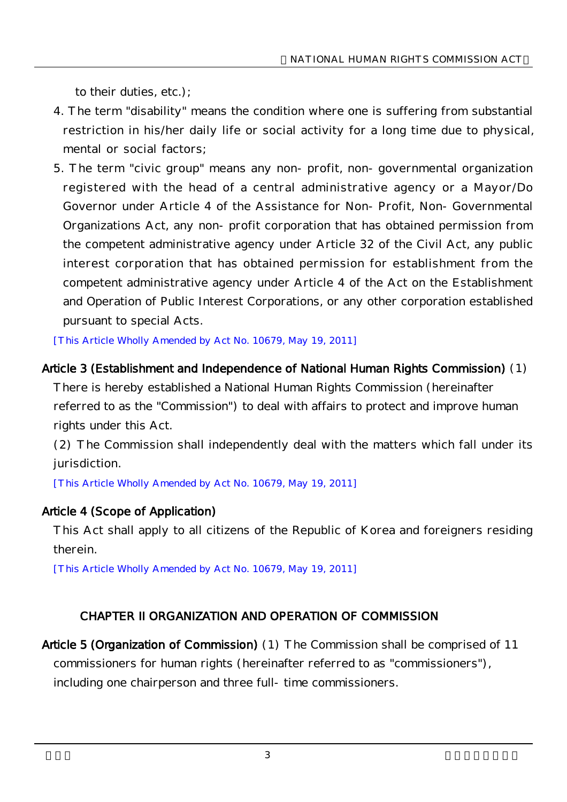to their duties, etc.);

- 4. The term "disability" means the condition where one is suffering from substantial restriction in his/her daily life or social activity for a long time due to physical, mental or social factors;
- 5. The term "civic group" means any non-profit, non-governmental organization registered with the head of a central administrative agency or a Mayor/Do Governor under Article 4 of the Assistance for Non-Profit, Non-Governmental Organizations Act, any non-profit corporation that has obtained permission from the competent administrative agency under Article 32 of the Civil Act, any public interest corporation that has obtained permission for establishment from the competent administrative agency under Article 4 of the Act on the Establishment and Operation of Public Interest Corporations, or any other corporation established pursuant to special Acts.

[This Article Wholly Amended by Act No. 10679, May 19, 2011]

#### Article 3 (Establishment and Independence of National Human Rights Commission) (1)

There is hereby established a National Human Rights Commission (hereinafter referred to as the "Commission") to deal with affairs to protect and improve human rights under this Act.

(2) The Commission shall independently deal with the matters which fall under its jurisdiction.

[This Article Wholly Amended by Act No. 10679, May 19, 2011]

## Article 4 (Scope of Application)

This Act shall apply to all citizens of the Republic of Korea and foreigners residing therein.

[This Article Wholly Amended by Act No. 10679, May 19, 2011]

## CHAPTER II ORGANIZATION AND OPERATION OF COMMISSION

Article 5 (Organization of Commission) (1) The Commission shall be comprised of 11 commissioners for human rights (hereinafter referred to as "commissioners"), including one chairperson and three full-time commissioners.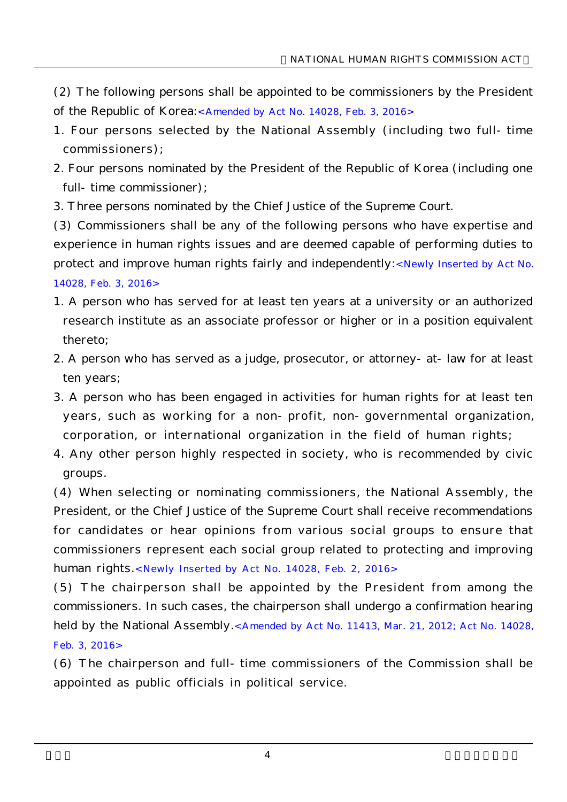- (2) The following persons shall be appointed to be commissioners by the President of the Republic of Korea:<Amended by Act No. 14028, Feb. 3, 2016>
- 1. Four persons selected by the National Assembly (including two full-time commissioners);
- 2. Four persons nominated by the President of the Republic of Korea (including one full-time commissioner);
- 3. Three persons nominated by the Chief Justice of the Supreme Court.

(3) Commissioners shall be any of the following persons who have expertise and experience in human rights issues and are deemed capable of performing duties to protect and improve human rights fairly and independently:<Newly Inserted by Act No. 14028, Feb. 3, 2016>

- 1. A person who has served for at least ten years at a university or an authorized research institute as an associate professor or higher or in a position equivalent thereto;
- 2. A person who has served as a judge, prosecutor, or attorney-at-law for at least ten years;
- 3. A person who has been engaged in activities for human rights for at least ten years, such as working for a non-profit, non-governmental organization, corporation, or international organization in the field of human rights;
- 4. Any other person highly respected in society, who is recommended by civic groups.

(4) When selecting or nominating commissioners, the National Assembly, the President, or the Chief Justice of the Supreme Court shall receive recommendations for candidates or hear opinions from various social groups to ensure that commissioners represent each social group related to protecting and improving human rights.<Newly Inserted by Act No. 14028, Feb. 2, 2016>

(5) The chairperson shall be appointed by the President from among the commissioners. In such cases, the chairperson shall undergo a confirmation hearing held by the National Assembly.<Amended by Act No. 11413, Mar. 21, 2012; Act No. 14028, Feb. 3, 2016>

(6) The chairperson and full-time commissioners of the Commission shall be appointed as public officials in political service.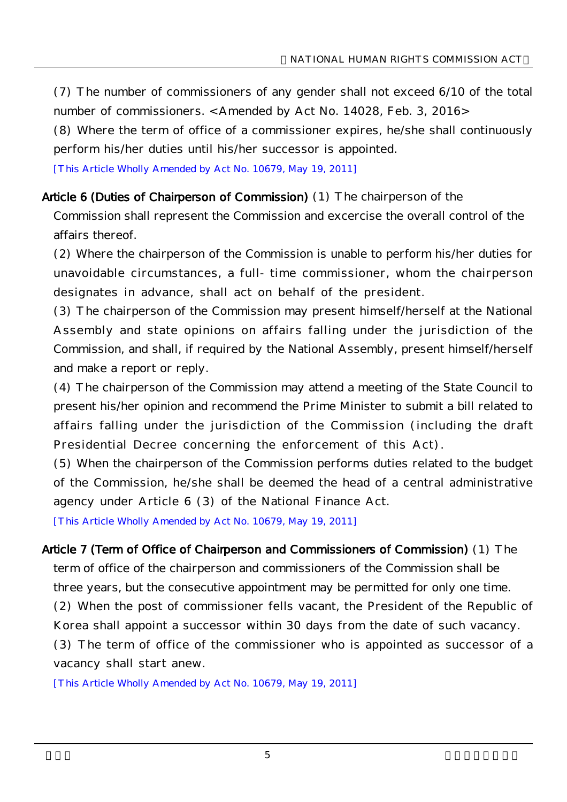(7) The number of commissioners of any gender shall not exceed 6/10 of the total number of commissioners. < Amended by Act No. 14028, Feb. 3, 2016>

(8) Where the term of office of a commissioner expires, he/she shall continuously perform his/her duties until his/her successor is appointed.

[This Article Wholly Amended by Act No. 10679, May 19, 2011]

#### Article 6 (Duties of Chairperson of Commission) (1) The chairperson of the

Commission shall represent the Commission and excercise the overall control of the affairs thereof.

(2) Where the chairperson of the Commission is unable to perform his/her duties for unavoidable circumstances, a full-time commissioner, whom the chairperson designates in advance, shall act on behalf of the president.

(3) The chairperson of the Commission may present himself/herself at the National Assembly and state opinions on affairs falling under the jurisdiction of the Commission, and shall, if required by the National Assembly, present himself/herself and make a report or reply.

(4) The chairperson of the Commission may attend a meeting of the State Council to present his/her opinion and recommend the Prime Minister to submit a bill related to affairs falling under the jurisdiction of the Commission (including the draft Presidential Decree concerning the enforcement of this Act).

(5) When the chairperson of the Commission performs duties related to the budget of the Commission, he/she shall be deemed the head of a central administrative agency under Article 6 (3) of the National Finance Act.

[This Article Wholly Amended by Act No. 10679, May 19, 2011]

Article 7 (Term of Office of Chairperson and Commissioners of Commission) (1) The term of office of the chairperson and commissioners of the Commission shall be three years, but the consecutive appointment may be permitted for only one time. (2) When the post of commissioner fells vacant, the President of the Republic of Korea shall appoint a successor within 30 days from the date of such vacancy. (3) The term of office of the commissioner who is appointed as successor of a

vacancy shall start anew.

[This Article Wholly Amended by Act No. 10679, May 19, 2011]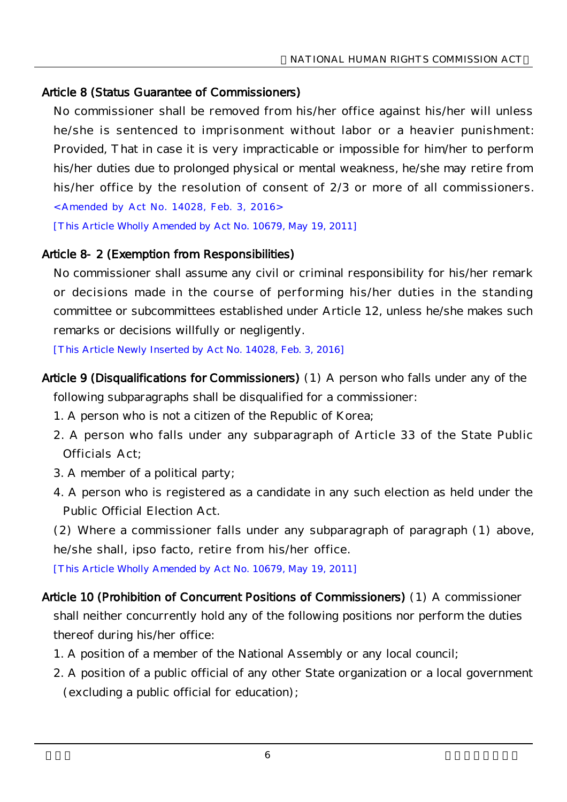### Article 8 (Status Guarantee of Commissioners)

No commissioner shall be removed from his/her office against his/her will unless he/she is sentenced to imprisonment without labor or a heavier punishment: Provided, That in case it is very impracticable or impossible for him/her to perform his/her duties due to prolonged physical or mental weakness, he/she may retire from his/her office by the resolution of consent of 2/3 or more of all commissioners.

<Amended by Act No. 14028, Feb. 3, 2016>

[This Article Wholly Amended by Act No. 10679, May 19, 2011]

### Article 8-2 (Exemption from Responsibilities)

No commissioner shall assume any civil or criminal responsibility for his/her remark or decisions made in the course of performing his/her duties in the standing committee or subcommittees established under Article 12, unless he/she makes such remarks or decisions willfully or negligently.

[This Article Newly Inserted by Act No. 14028, Feb. 3, 2016]

- Article 9 (Disqualifications for Commissioners) (1) A person who falls under any of the following subparagraphs shall be disqualified for a commissioner:
	- 1. A person who is not a citizen of the Republic of Korea;
	- 2. A person who falls under any subparagraph of Article 33 of the State Public Officials Act;
	- 3. A member of a political party;
	- 4. A person who is registered as a candidate in any such election as held under the Public Official Election Act.

(2) Where a commissioner falls under any subparagraph of paragraph (1) above, he/she shall, ipso facto, retire from his/her office.

[This Article Wholly Amended by Act No. 10679, May 19, 2011]

- Article 10 (Prohibition of Concurrent Positions of Commissioners) (1) A commissioner shall neither concurrently hold any of the following positions nor perform the duties thereof during his/her office:
	- 1. A position of a member of the National Assembly or any local council;
	- 2. A position of a public official of any other State organization or a local government (excluding a public official for education);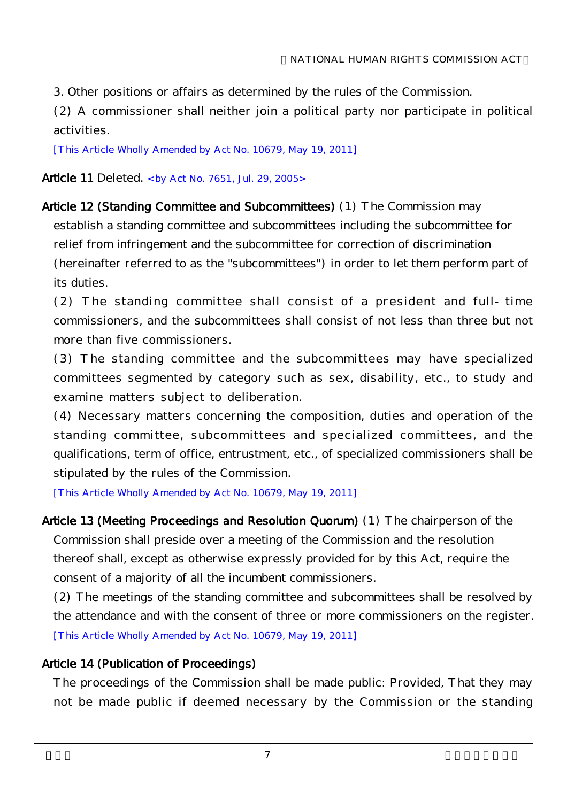3. Other positions or affairs as determined by the rules of the Commission.

(2) A commissioner shall neither join a political party nor participate in political activities.

[This Article Wholly Amended by Act No. 10679, May 19, 2011]

Article 11 Deleted. < by Act No. 7651, Jul. 29, 2005>

Article 12 (Standing Committee and Subcommittees) (1) The Commission may

establish a standing committee and subcommittees including the subcommittee for relief from infringement and the subcommittee for correction of discrimination (hereinafter referred to as the "subcommittees") in order to let them perform part of its duties.

(2) The standing committee shall consist of a president and full-time commissioners, and the subcommittees shall consist of not less than three but not more than five commissioners.

(3) The standing committee and the subcommittees may have specialized committees segmented by category such as sex, disability, etc., to study and examine matters subject to deliberation.

(4) Necessary matters concerning the composition, duties and operation of the standing committee, subcommittees and specialized committees, and the qualifications, term of office, entrustment, etc., of specialized commissioners shall be stipulated by the rules of the Commission.

[This Article Wholly Amended by Act No. 10679, May 19, 2011]

Article 13 (Meeting Proceedings and Resolution Quorum) (1) The chairperson of the Commission shall preside over a meeting of the Commission and the resolution thereof shall, except as otherwise expressly provided for by this Act, require the consent of a majority of all the incumbent commissioners.

(2) The meetings of the standing committee and subcommittees shall be resolved by the attendance and with the consent of three or more commissioners on the register. [This Article Wholly Amended by Act No. 10679, May 19, 2011]

## Article 14 (Publication of Proceedings)

The proceedings of the Commission shall be made public: Provided, That they may not be made public if deemed necessary by the Commission or the standing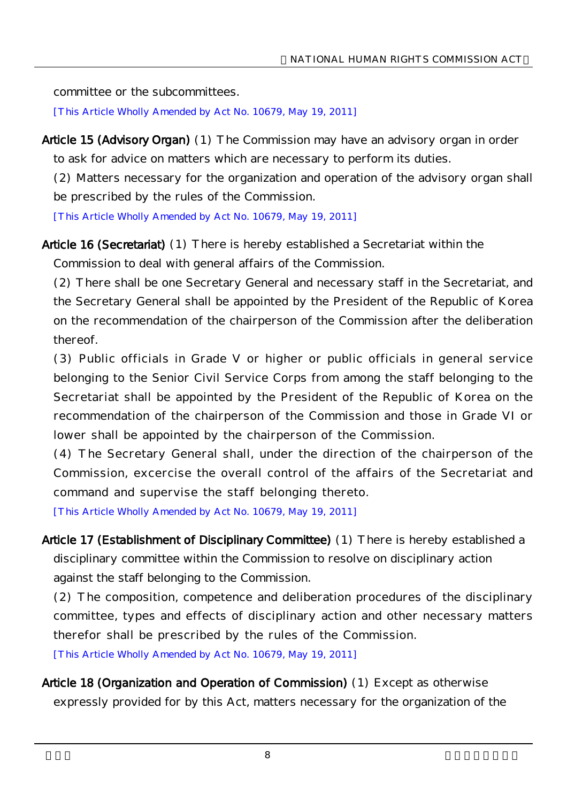committee or the subcommittees.

[This Article Wholly Amended by Act No. 10679, May 19, 2011]

Article 15 (Advisory Organ) (1) The Commission may have an advisory organ in order to ask for advice on matters which are necessary to perform its duties.

(2) Matters necessary for the organization and operation of the advisory organ shall be prescribed by the rules of the Commission.

[This Article Wholly Amended by Act No. 10679, May 19, 2011]

Article 16 (Secretariat) (1) There is hereby established a Secretariat within the

Commission to deal with general affairs of the Commission.

(2) There shall be one Secretary General and necessary staff in the Secretariat, and the Secretary General shall be appointed by the President of the Republic of Korea on the recommendation of the chairperson of the Commission after the deliberation thereof.

(3) Public officials in Grade V or higher or public officials in general service belonging to the Senior Civil Service Corps from among the staff belonging to the Secretariat shall be appointed by the President of the Republic of Korea on the recommendation of the chairperson of the Commission and those in Grade VI or lower shall be appointed by the chairperson of the Commission.

(4) The Secretary General shall, under the direction of the chairperson of the Commission, excercise the overall control of the affairs of the Secretariat and command and supervise the staff belonging thereto.

[This Article Wholly Amended by Act No. 10679, May 19, 2011]

Article 17 (Establishment of Disciplinary Committee) (1) There is hereby established a disciplinary committee within the Commission to resolve on disciplinary action against the staff belonging to the Commission.

(2) The composition, competence and deliberation procedures of the disciplinary committee, types and effects of disciplinary action and other necessary matters therefor shall be prescribed by the rules of the Commission.

[This Article Wholly Amended by Act No. 10679, May 19, 2011]

Article 18 (Organization and Operation of Commission) (1) Except as otherwise expressly provided for by this Act, matters necessary for the organization of the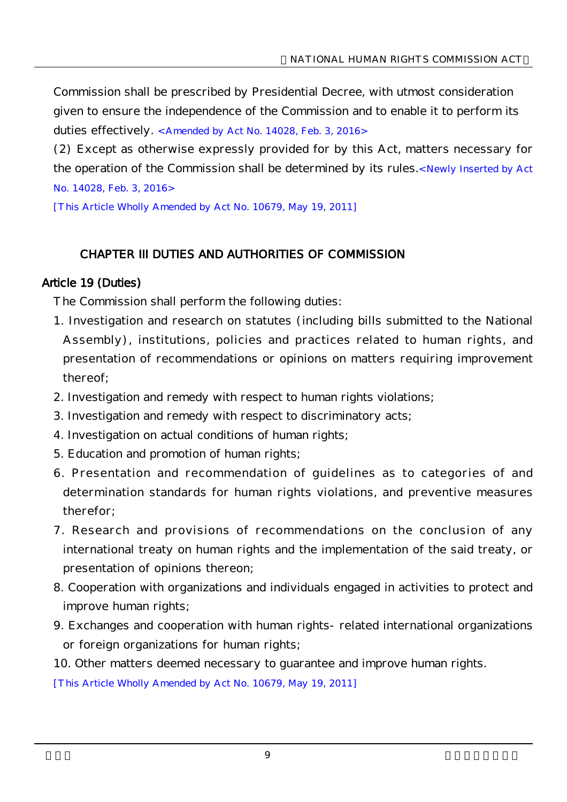Commission shall be prescribed by Presidential Decree, with utmost consideration given to ensure the independence of the Commission and to enable it to perform its duties effectively. < Amended by Act No. 14028, Feb. 3, 2016>

(2) Except as otherwise expressly provided for by this Act, matters necessary for the operation of the Commission shall be determined by its rules.<Newly Inserted by Act No. 14028, Feb. 3, 2016>

[This Article Wholly Amended by Act No. 10679, May 19, 2011]

## CHAPTER III DUTIES AND AUTHORITIES OF COMMISSION

#### Article 19 (Duties)

The Commission shall perform the following duties:

- 1. Investigation and research on statutes (including bills submitted to the National Assembly), institutions, policies and practices related to human rights, and presentation of recommendations or opinions on matters requiring improvement thereof;
- 2. Investigation and remedy with respect to human rights violations;
- 3. Investigation and remedy with respect to discriminatory acts;
- 4. Investigation on actual conditions of human rights;
- 5. Education and promotion of human rights;
- 6. Presentation and recommendation of guidelines as to categories of and determination standards for human rights violations, and preventive measures therefor;
- 7. Research and provisions of recommendations on the conclusion of any international treaty on human rights and the implementation of the said treaty, or presentation of opinions thereon;
- 8. Cooperation with organizations and individuals engaged in activities to protect and improve human rights;
- 9. Exchanges and cooperation with human rights-related international organizations or foreign organizations for human rights;
- 10. Other matters deemed necessary to guarantee and improve human rights.

[This Article Wholly Amended by Act No. 10679, May 19, 2011]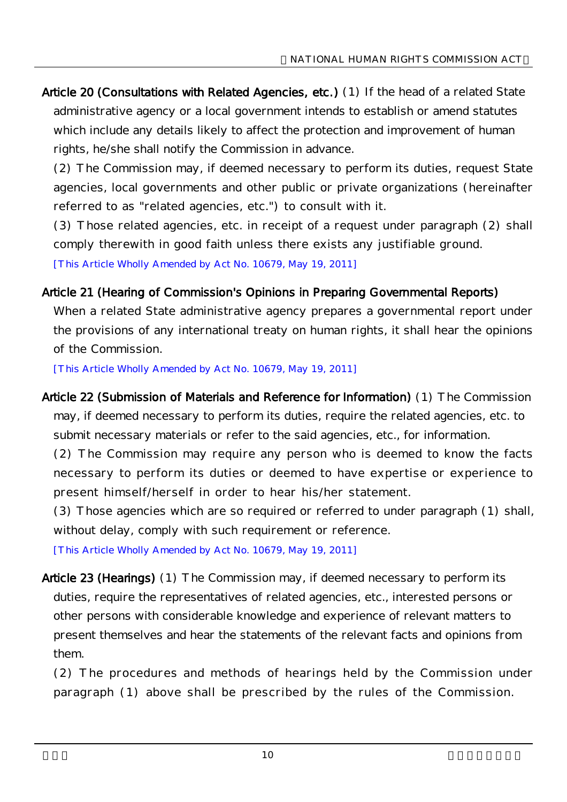Article 20 (Consultations with Related Agencies, etc.) (1) If the head of a related State administrative agency or a local government intends to establish or amend statutes which include any details likely to affect the protection and improvement of human rights, he/she shall notify the Commission in advance.

(2) The Commission may, if deemed necessary to perform its duties, request State agencies, local governments and other public or private organizations (hereinafter referred to as "related agencies, etc.") to consult with it.

(3) Those related agencies, etc. in receipt of a request under paragraph (2) shall comply therewith in good faith unless there exists any justifiable ground.

[This Article Wholly Amended by Act No. 10679, May 19, 2011]

## Article 21 (Hearing of Commission's Opinions in Preparing Governmental Reports)

When a related State administrative agency prepares a governmental report under the provisions of any international treaty on human rights, it shall hear the opinions of the Commission.

[This Article Wholly Amended by Act No. 10679, May 19, 2011]

Article 22 (Submission of Materials and Reference for Information) (1) The Commission may, if deemed necessary to perform its duties, require the related agencies, etc. to submit necessary materials or refer to the said agencies, etc., for information. (2) The Commission may require any person who is deemed to know the facts necessary to perform its duties or deemed to have expertise or experience to present himself/herself in order to hear his/her statement.

(3) Those agencies which are so required or referred to under paragraph (1) shall, without delay, comply with such requirement or reference.

[This Article Wholly Amended by Act No. 10679, May 19, 2011]

Article 23 (Hearings) (1) The Commission may, if deemed necessary to perform its duties, require the representatives of related agencies, etc., interested persons or other persons with considerable knowledge and experience of relevant matters to present themselves and hear the statements of the relevant facts and opinions from them.

(2) The procedures and methods of hearings held by the Commission under paragraph (1) above shall be prescribed by the rules of the Commission.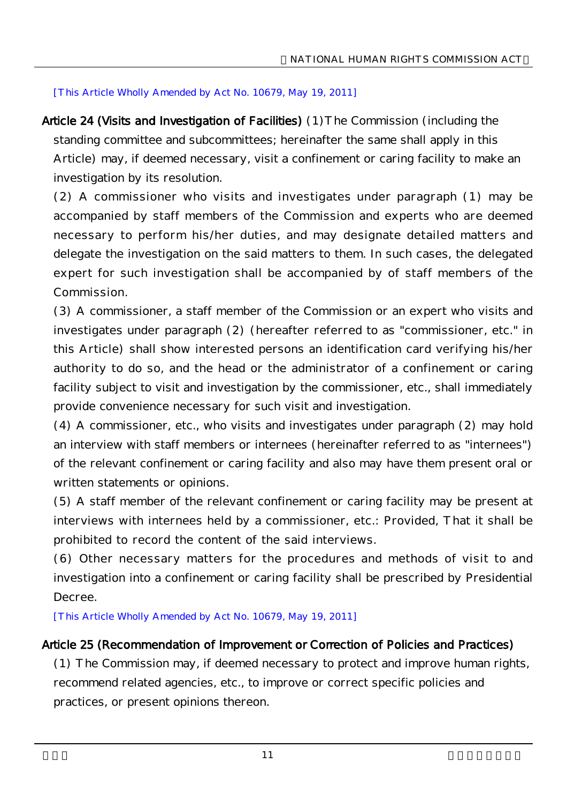#### [This Article Wholly Amended by Act No. 10679, May 19, 2011]

Article 24 (Visits and Investigation of Facilities) (1)The Commission (including the standing committee and subcommittees; hereinafter the same shall apply in this Article) may, if deemed necessary, visit a confinement or caring facility to make an investigation by its resolution.

(2) A commissioner who visits and investigates under paragraph (1) may be accompanied by staff members of the Commission and experts who are deemed necessary to perform his/her duties, and may designate detailed matters and delegate the investigation on the said matters to them. In such cases, the delegated expert for such investigation shall be accompanied by of staff members of the Commission.

(3) A commissioner, a staff member of the Commission or an expert who visits and investigates under paragraph (2) (hereafter referred to as "commissioner, etc." in this Article) shall show interested persons an identification card verifying his/her authority to do so, and the head or the administrator of a confinement or caring facility subject to visit and investigation by the commissioner, etc., shall immediately provide convenience necessary for such visit and investigation.

(4) A commissioner, etc., who visits and investigates under paragraph (2) may hold an interview with staff members or internees (hereinafter referred to as "internees") of the relevant confinement or caring facility and also may have them present oral or written statements or opinions.

(5) A staff member of the relevant confinement or caring facility may be present at interviews with internees held by a commissioner, etc.: Provided, That it shall be prohibited to record the content of the said interviews.

(6) Other necessary matters for the procedures and methods of visit to and investigation into a confinement or caring facility shall be prescribed by Presidential Decree.

[This Article Wholly Amended by Act No. 10679, May 19, 2011]

## Article 25 (Recommendation of Improvement or Correction of Policies and Practices)

(1) The Commission may, if deemed necessary to protect and improve human rights, recommend related agencies, etc., to improve or correct specific policies and practices, or present opinions thereon.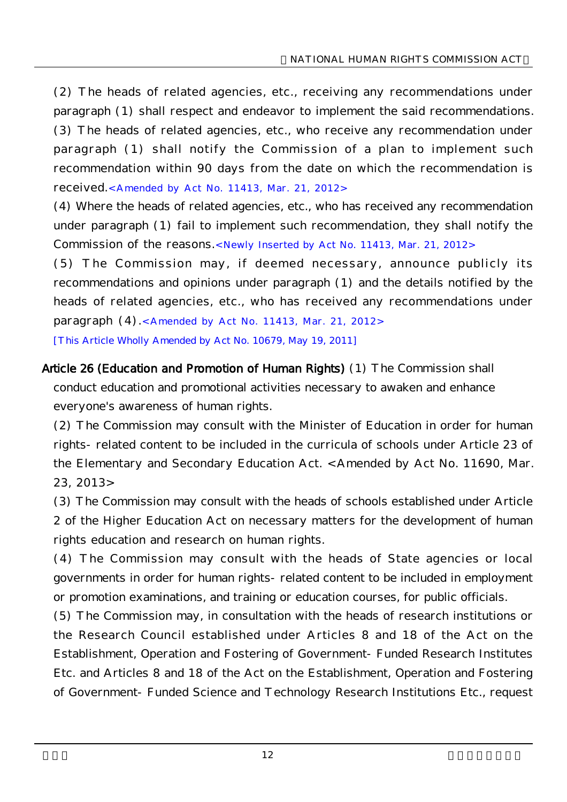(2) The heads of related agencies, etc., receiving any recommendations under paragraph (1) shall respect and endeavor to implement the said recommendations. (3) The heads of related agencies, etc., who receive any recommendation under paragraph (1) shall notify the Commission of a plan to implement such recommendation within 90 days from the date on which the recommendation is received.<Amended by Act No. 11413, Mar. 21, 2012>

(4) Where the heads of related agencies, etc., who has received any recommendation under paragraph (1) fail to implement such recommendation, they shall notify the Commission of the reasons.<Newly Inserted by Act No. 11413, Mar. 21, 2012>

(5) The Commission may, if deemed necessary, announce publicly its recommendations and opinions under paragraph (1) and the details notified by the heads of related agencies, etc., who has received any recommendations under paragraph (4).<Amended by Act No. 11413, Mar. 21, 2012> [This Article Wholly Amended by Act No. 10679, May 19, 2011]

Article 26 (Education and Promotion of Human Rights) (1) The Commission shall conduct education and promotional activities necessary to awaken and enhance everyone's awareness of human rights.

(2) The Commission may consult with the Minister of Education in order for human rights-related content to be included in the curricula of schools under Article 23 of the Elementary and Secondary Education Act. < Amended by Act No. 11690, Mar. 23, 2013>

(3) The Commission may consult with the heads of schools established under Article 2 of the Higher Education Act on necessary matters for the development of human rights education and research on human rights.

(4) The Commission may consult with the heads of State agencies or local governments in order for human rights-related content to be included in employment or promotion examinations, and training or education courses, for public officials.

(5) The Commission may, in consultation with the heads of research institutions or the Research Council established under Articles 8 and 18 of the Act on the Establishment, Operation and Fostering of Government-Funded Research Institutes Etc. and Articles 8 and 18 of the Act on the Establishment, Operation and Fostering of Government-Funded Science and Technology Research Institutions Etc., request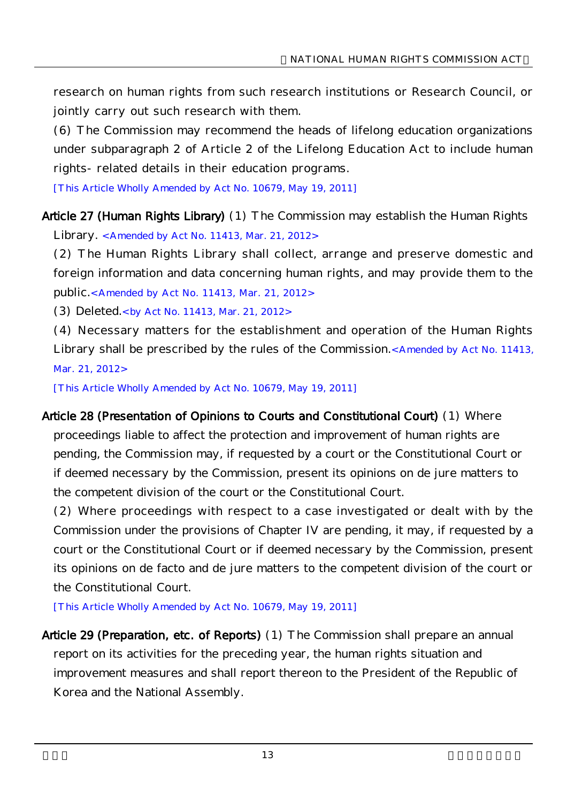research on human rights from such research institutions or Research Council, or jointly carry out such research with them.

(6) The Commission may recommend the heads of lifelong education organizations under subparagraph 2 of Article 2 of the Lifelong Education Act to include human rights-related details in their education programs.

[This Article Wholly Amended by Act No. 10679, May 19, 2011]

Article 27 (Human Rights Library) (1) The Commission may establish the Human Rights Library. <Amended by Act No. 11413, Mar. 21, 2012>

(2) The Human Rights Library shall collect, arrange and preserve domestic and foreign information and data concerning human rights, and may provide them to the public.<Amended by Act No. 11413, Mar. 21, 2012>

(3) Deleted.<by Act No. 11413, Mar. 21, 2012>

(4) Necessary matters for the establishment and operation of the Human Rights Library shall be prescribed by the rules of the Commission.<Amended by Act No. 11413, Mar. 21, 2012>

[This Article Wholly Amended by Act No. 10679, May 19, 2011]

Article 28 (Presentation of Opinions to Courts and Constitutional Court) (1) Where proceedings liable to affect the protection and improvement of human rights are pending, the Commission may, if requested by a court or the Constitutional Court or if deemed necessary by the Commission, present its opinions on de jure matters to the competent division of the court or the Constitutional Court.

(2) Where proceedings with respect to a case investigated or dealt with by the Commission under the provisions of Chapter IV are pending, it may, if requested by a court or the Constitutional Court or if deemed necessary by the Commission, present its opinions on de facto and de jure matters to the competent division of the court or the Constitutional Court.

[This Article Wholly Amended by Act No. 10679, May 19, 2011]

Article 29 (Preparation, etc. of Reports) (1) The Commission shall prepare an annual report on its activities for the preceding year, the human rights situation and improvement measures and shall report thereon to the President of the Republic of Korea and the National Assembly.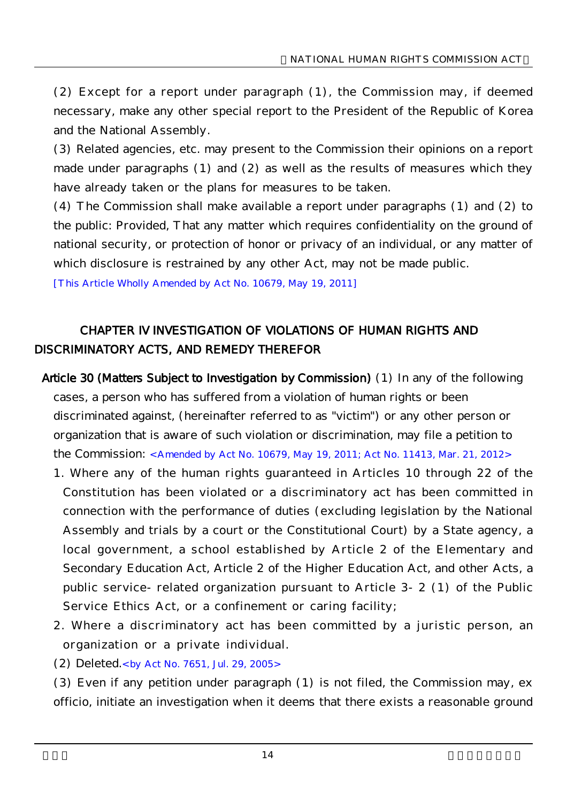(2) Except for a report under paragraph (1), the Commission may, if deemed necessary, make any other special report to the President of the Republic of Korea and the National Assembly.

(3) Related agencies, etc. may present to the Commission their opinions on a report made under paragraphs (1) and (2) as well as the results of measures which they have already taken or the plans for measures to be taken.

(4) The Commission shall make available a report under paragraphs (1) and (2) to the public: Provided, That any matter which requires confidentiality on the ground of national security, or protection of honor or privacy of an individual, or any matter of which disclosure is restrained by any other Act, may not be made public.

[This Article Wholly Amended by Act No. 10679, May 19, 2011]

# CHAPTER IV INVESTIGATION OF VIOLATIONS OF HUMAN RIGHTS AND DISCRIMINATORY ACTS, AND REMEDY THEREFOR

- Article 30 (Matters Subject to Investigation by Commission) (1) In any of the following cases, a person who has suffered from a violation of human rights or been discriminated against, (hereinafter referred to as "victim") or any other person or organization that is aware of such violation or discrimination, may file a petition to the Commission: <Amended by Act No. 10679, May 19, 2011; Act No. 11413, Mar. 21, 2012>
	- 1. Where any of the human rights guaranteed in Articles 10 through 22 of the Constitution has been violated or a discriminatory act has been committed in connection with the performance of duties (excluding legislation by the National Assembly and trials by a court or the Constitutional Court) by a State agency, a local government, a school established by Article 2 of the Elementary and Secondary Education Act, Article 2 of the Higher Education Act, and other Acts, a public service-related organization pursuant to Article 3-2 (1) of the Public Service Ethics Act, or a confinement or caring facility;
	- 2. Where a discriminatory act has been committed by a juristic person, an organization or a private individual.
	- (2) Deleted.<by Act No. 7651, Jul. 29, 2005>

(3) Even if any petition under paragraph (1) is not filed, the Commission may, ex officio, initiate an investigation when it deems that there exists a reasonable ground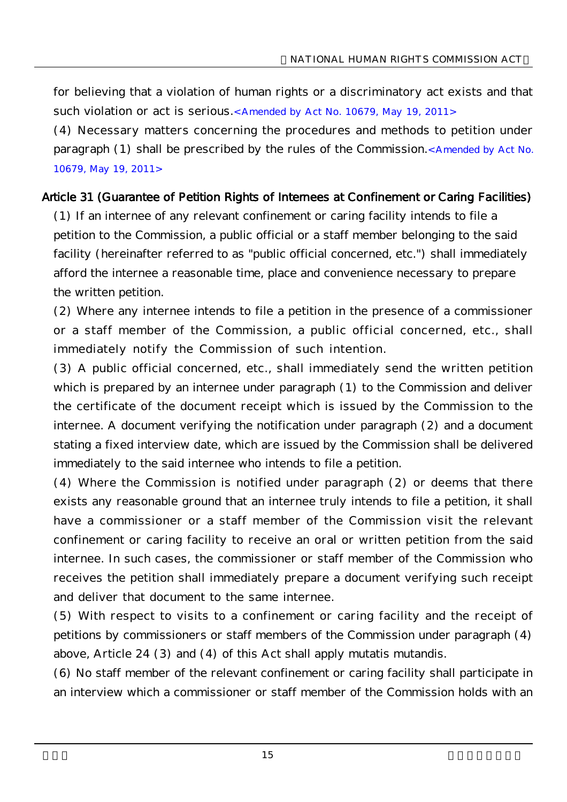for believing that a violation of human rights or a discriminatory act exists and that such violation or act is serious.<Amended by Act No. 10679, May 19, 2011>

(4) Necessary matters concerning the procedures and methods to petition under paragraph (1) shall be prescribed by the rules of the Commission.<Amended by Act No. 10679, May 19, 2011>

#### Article 31 (Guarantee of Petition Rights of Internees at Confinement or Caring Facilities)

(1) If an internee of any relevant confinement or caring facility intends to file a petition to the Commission, a public official or a staff member belonging to the said facility (hereinafter referred to as "public official concerned, etc.") shall immediately afford the internee a reasonable time, place and convenience necessary to prepare the written petition.

(2) Where any internee intends to file a petition in the presence of a commissioner or a staff member of the Commission, a public official concerned, etc., shall immediately notify the Commission of such intention.

(3) A public official concerned, etc., shall immediately send the written petition which is prepared by an internee under paragraph (1) to the Commission and deliver the certificate of the document receipt which is issued by the Commission to the internee. A document verifying the notification under paragraph (2) and a document stating a fixed interview date, which are issued by the Commission shall be delivered immediately to the said internee who intends to file a petition.

(4) Where the Commission is notified under paragraph (2) or deems that there exists any reasonable ground that an internee truly intends to file a petition, it shall have a commissioner or a staff member of the Commission visit the relevant confinement or caring facility to receive an oral or written petition from the said internee. In such cases, the commissioner or staff member of the Commission who receives the petition shall immediately prepare a document verifying such receipt and deliver that document to the same internee.

(5) With respect to visits to a confinement or caring facility and the receipt of petitions by commissioners or staff members of the Commission under paragraph (4) above, Article 24 (3) and (4) of this Act shall apply mutatis mutandis.

(6) No staff member of the relevant confinement or caring facility shall participate in an interview which a commissioner or staff member of the Commission holds with an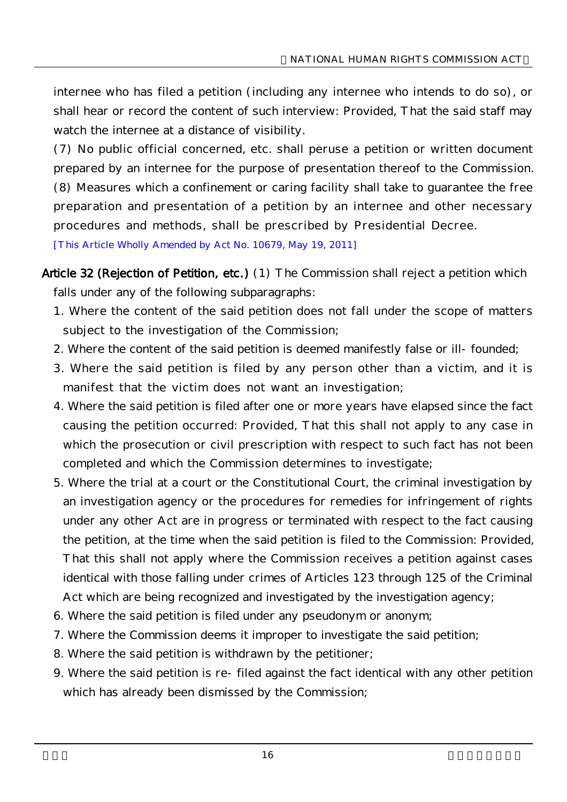internee who has filed a petition (including any internee who intends to do so), or shall hear or record the content of such interview: Provided, That the said staff may watch the internee at a distance of visibility.

(7) No public official concerned, etc. shall peruse a petition or written document prepared by an internee for the purpose of presentation thereof to the Commission. (8) Measures which a confinement or caring facility shall take to guarantee the free preparation and presentation of a petition by an internee and other necessary procedures and methods, shall be prescribed by Presidential Decree.

[This Article Wholly Amended by Act No. 10679, May 19, 2011]

- Article 32 (Rejection of Petition, etc.) (1) The Commission shall reject a petition which falls under any of the following subparagraphs:
	- 1. Where the content of the said petition does not fall under the scope of matters subject to the investigation of the Commission;
	- 2. Where the content of the said petition is deemed manifestly false or ill-founded;
	- 3. Where the said petition is filed by any person other than a victim, and it is manifest that the victim does not want an investigation;
	- 4. Where the said petition is filed after one or more years have elapsed since the fact causing the petition occurred: Provided, That this shall not apply to any case in which the prosecution or civil prescription with respect to such fact has not been completed and which the Commission determines to investigate;
	- 5. Where the trial at a court or the Constitutional Court, the criminal investigation by an investigation agency or the procedures for remedies for infringement of rights under any other Act are in progress or terminated with respect to the fact causing the petition, at the time when the said petition is filed to the Commission: Provided, That this shall not apply where the Commission receives a petition against cases identical with those falling under crimes of Articles 123 through 125 of the Criminal Act which are being recognized and investigated by the investigation agency;
	- 6. Where the said petition is filed under any pseudonym or anonym;
	- 7. Where the Commission deems it improper to investigate the said petition;
	- 8. Where the said petition is withdrawn by the petitioner;
	- 9. Where the said petition is re-filed against the fact identical with any other petition which has already been dismissed by the Commission;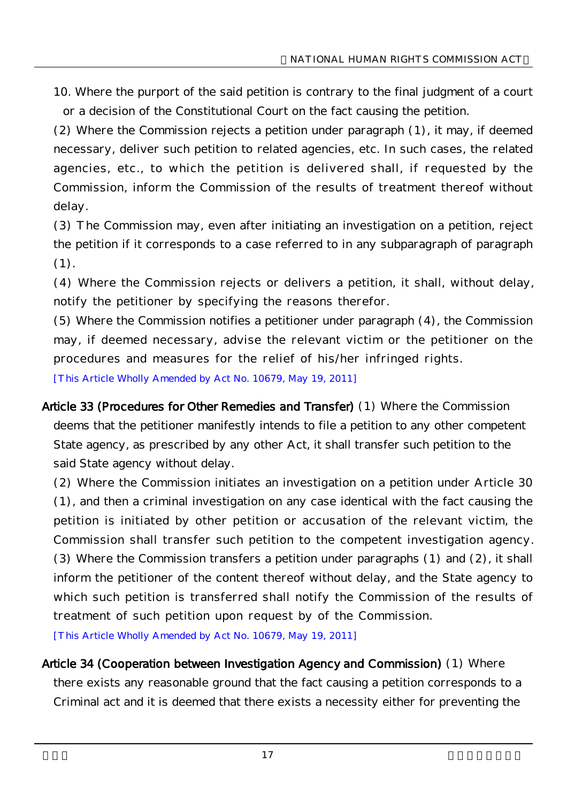10. Where the purport of the said petition is contrary to the final judgment of a court or a decision of the Constitutional Court on the fact causing the petition.

(2) Where the Commission rejects a petition under paragraph (1), it may, if deemed necessary, deliver such petition to related agencies, etc. In such cases, the related agencies, etc., to which the petition is delivered shall, if requested by the Commission, inform the Commission of the results of treatment thereof without delay.

(3) The Commission may, even after initiating an investigation on a petition, reject the petition if it corresponds to a case referred to in any subparagraph of paragraph (1).

(4) Where the Commission rejects or delivers a petition, it shall, without delay, notify the petitioner by specifying the reasons therefor.

(5) Where the Commission notifies a petitioner under paragraph (4), the Commission may, if deemed necessary, advise the relevant victim or the petitioner on the procedures and measures for the relief of his/her infringed rights.

[This Article Wholly Amended by Act No. 10679, May 19, 2011]

Article 33 (Procedures for Other Remedies and Transfer) (1) Where the Commission deems that the petitioner manifestly intends to file a petition to any other competent State agency, as prescribed by any other Act, it shall transfer such petition to the said State agency without delay.

(2) Where the Commission initiates an investigation on a petition under Article 30 (1), and then a criminal investigation on any case identical with the fact causing the petition is initiated by other petition or accusation of the relevant victim, the Commission shall transfer such petition to the competent investigation agency. (3) Where the Commission transfers a petition under paragraphs (1) and (2), it shall inform the petitioner of the content thereof without delay, and the State agency to which such petition is transferred shall notify the Commission of the results of treatment of such petition upon request by of the Commission.

[This Article Wholly Amended by Act No. 10679, May 19, 2011]

## Article 34 (Cooperation between Investigation Agency and Commission) (1) Where

there exists any reasonable ground that the fact causing a petition corresponds to a Criminal act and it is deemed that there exists a necessity either for preventing the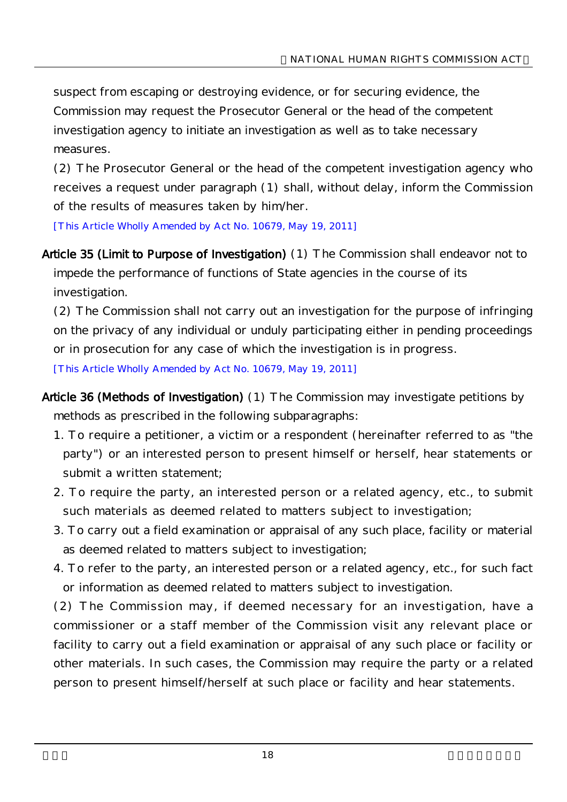suspect from escaping or destroying evidence, or for securing evidence, the Commission may request the Prosecutor General or the head of the competent investigation agency to initiate an investigation as well as to take necessary measures.

(2) The Prosecutor General or the head of the competent investigation agency who receives a request under paragraph (1) shall, without delay, inform the Commission of the results of measures taken by him/her.

[This Article Wholly Amended by Act No. 10679, May 19, 2011]

Article 35 (Limit to Purpose of Investigation) (1) The Commission shall endeavor not to impede the performance of functions of State agencies in the course of its investigation.

(2) The Commission shall not carry out an investigation for the purpose of infringing on the privacy of any individual or unduly participating either in pending proceedings or in prosecution for any case of which the investigation is in progress.

[This Article Wholly Amended by Act No. 10679, May 19, 2011]

- Article 36 (Methods of Investigation) (1) The Commission may investigate petitions by methods as prescribed in the following subparagraphs:
	- 1. To require a petitioner, a victim or a respondent (hereinafter referred to as "the party") or an interested person to present himself or herself, hear statements or submit a written statement;
	- 2. To require the party, an interested person or a related agency, etc., to submit such materials as deemed related to matters subject to investigation;
	- 3. To carry out a field examination or appraisal of any such place, facility or material as deemed related to matters subject to investigation;
	- 4. To refer to the party, an interested person or a related agency, etc., for such fact or information as deemed related to matters subject to investigation.

(2) The Commission may, if deemed necessary for an investigation, have a commissioner or a staff member of the Commission visit any relevant place or facility to carry out a field examination or appraisal of any such place or facility or other materials. In such cases, the Commission may require the party or a related person to present himself/herself at such place or facility and hear statements.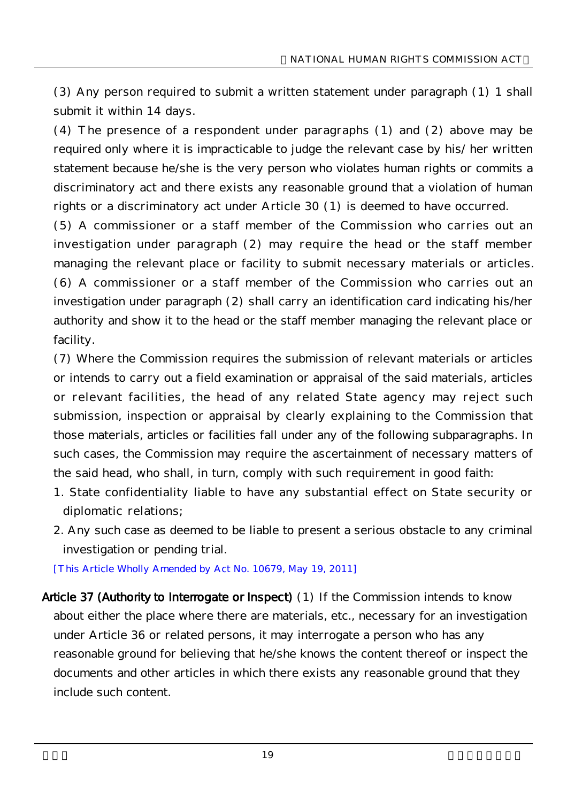(3) Any person required to submit a written statement under paragraph (1) 1 shall submit it within 14 days.

(4) The presence of a respondent under paragraphs (1) and (2) above may be required only where it is impracticable to judge the relevant case by his/ her written statement because he/she is the very person who violates human rights or commits a discriminatory act and there exists any reasonable ground that a violation of human rights or a discriminatory act under Article 30 (1) is deemed to have occurred.

(5) A commissioner or a staff member of the Commission who carries out an investigation under paragraph (2) may require the head or the staff member managing the relevant place or facility to submit necessary materials or articles. (6) A commissioner or a staff member of the Commission who carries out an investigation under paragraph (2) shall carry an identification card indicating his/her authority and show it to the head or the staff member managing the relevant place or facility.

(7) Where the Commission requires the submission of relevant materials or articles or intends to carry out a field examination or appraisal of the said materials, articles or relevant facilities, the head of any related State agency may reject such submission, inspection or appraisal by clearly explaining to the Commission that those materials, articles or facilities fall under any of the following subparagraphs. In such cases, the Commission may require the ascertainment of necessary matters of the said head, who shall, in turn, comply with such requirement in good faith:

- 1. State confidentiality liable to have any substantial effect on State security or diplomatic relations;
- 2. Any such case as deemed to be liable to present a serious obstacle to any criminal investigation or pending trial.

[This Article Wholly Amended by Act No. 10679, May 19, 2011]

Article 37 (Authority to Interrogate or Inspect) (1) If the Commission intends to know about either the place where there are materials, etc., necessary for an investigation under Article 36 or related persons, it may interrogate a person who has any reasonable ground for believing that he/she knows the content thereof or inspect the documents and other articles in which there exists any reasonable ground that they include such content.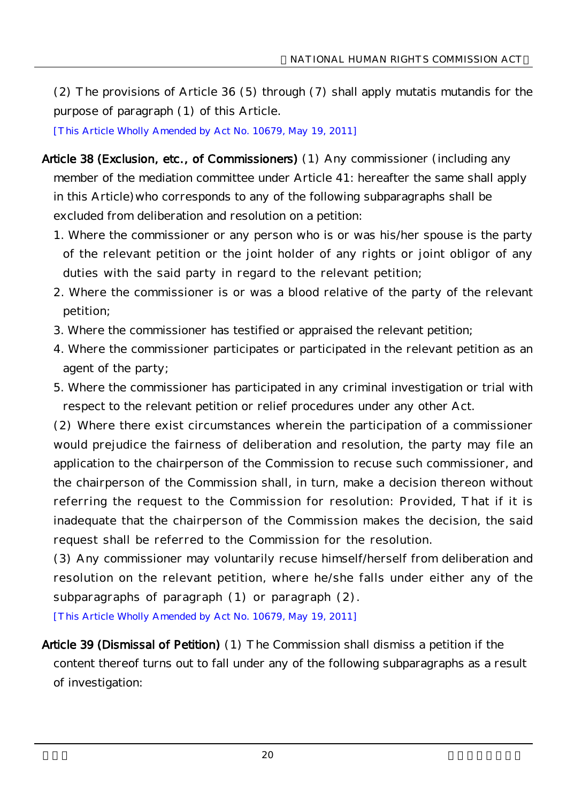(2) The provisions of Article 36 (5) through (7) shall apply mutatis mutandis for the purpose of paragraph (1) of this Article.

[This Article Wholly Amended by Act No. 10679, May 19, 2011]

- Article 38 (Exclusion, etc., of Commissioners) (1) Any commissioner (including any member of the mediation committee under Article 41: hereafter the same shall apply in this Article)who corresponds to any of the following subparagraphs shall be excluded from deliberation and resolution on a petition:
	- 1. Where the commissioner or any person who is or was his/her spouse is the party of the relevant petition or the joint holder of any rights or joint obligor of any duties with the said party in regard to the relevant petition;
	- 2. Where the commissioner is or was a blood relative of the party of the relevant petition;
	- 3. Where the commissioner has testified or appraised the relevant petition;
	- 4. Where the commissioner participates or participated in the relevant petition as an agent of the party;
	- 5. Where the commissioner has participated in any criminal investigation or trial with respect to the relevant petition or relief procedures under any other Act.

(2) Where there exist circumstances wherein the participation of a commissioner would prejudice the fairness of deliberation and resolution, the party may file an application to the chairperson of the Commission to recuse such commissioner, and the chairperson of the Commission shall, in turn, make a decision thereon without referring the request to the Commission for resolution: Provided, That if it is inadequate that the chairperson of the Commission makes the decision, the said request shall be referred to the Commission for the resolution.

(3) Any commissioner may voluntarily recuse himself/herself from deliberation and resolution on the relevant petition, where he/she falls under either any of the subparagraphs of paragraph  $(1)$  or paragraph  $(2)$ .

[This Article Wholly Amended by Act No. 10679, May 19, 2011]

Article 39 (Dismissal of Petition) (1) The Commission shall dismiss a petition if the content thereof turns out to fall under any of the following subparagraphs as a result of investigation: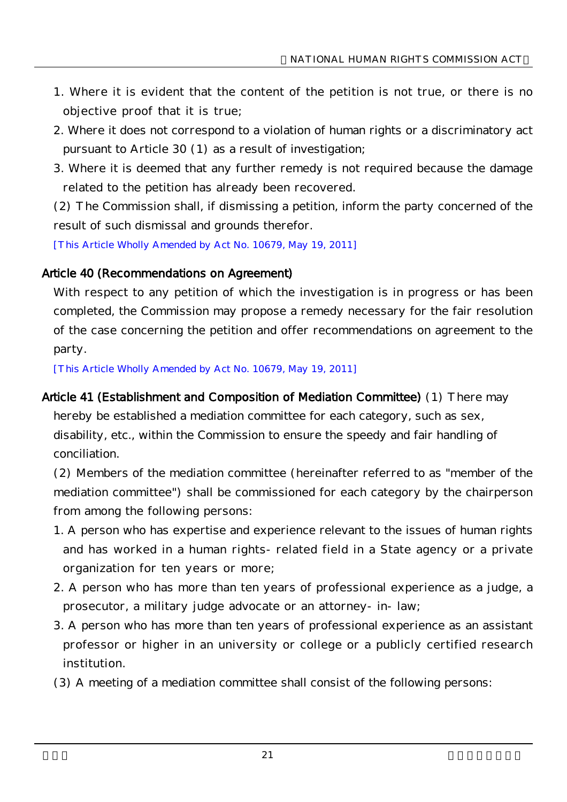- 1. Where it is evident that the content of the petition is not true, or there is no objective proof that it is true;
- 2. Where it does not correspond to a violation of human rights or a discriminatory act pursuant to Article 30 (1) as a result of investigation;
- 3. Where it is deemed that any further remedy is not required because the damage related to the petition has already been recovered.

(2) The Commission shall, if dismissing a petition, inform the party concerned of the result of such dismissal and grounds therefor.

[This Article Wholly Amended by Act No. 10679, May 19, 2011]

#### Article 40 (Recommendations on Agreement)

With respect to any petition of which the investigation is in progress or has been completed, the Commission may propose a remedy necessary for the fair resolution of the case concerning the petition and offer recommendations on agreement to the party.

[This Article Wholly Amended by Act No. 10679, May 19, 2011]

#### Article 41 (Establishment and Composition of Mediation Committee) (1) There may

hereby be established a mediation committee for each category, such as sex, disability, etc., within the Commission to ensure the speedy and fair handling of conciliation.

(2) Members of the mediation committee (hereinafter referred to as "member of the mediation committee") shall be commissioned for each category by the chairperson from among the following persons:

- 1. A person who has expertise and experience relevant to the issues of human rights and has worked in a human rights-related field in a State agency or a private organization for ten years or more;
- 2. A person who has more than ten years of professional experience as a judge, a prosecutor, a military judge advocate or an attorney-in-law;
- 3. A person who has more than ten years of professional experience as an assistant professor or higher in an university or college or a publicly certified research institution.
- (3) A meeting of a mediation committee shall consist of the following persons: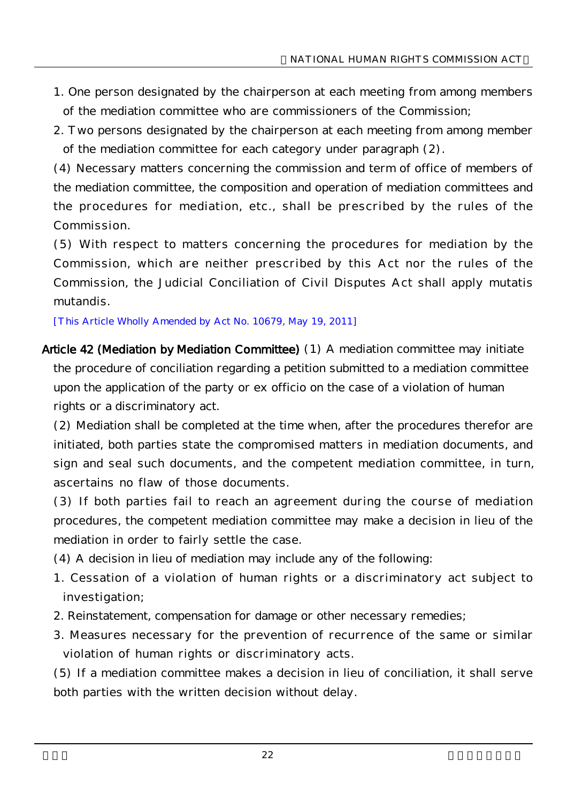- 1. One person designated by the chairperson at each meeting from among members of the mediation committee who are commissioners of the Commission;
- 2. Two persons designated by the chairperson at each meeting from among member of the mediation committee for each category under paragraph (2).

(4) Necessary matters concerning the commission and term of office of members of the mediation committee, the composition and operation of mediation committees and the procedures for mediation, etc., shall be prescribed by the rules of the Commission.

(5) With respect to matters concerning the procedures for mediation by the Commission, which are neither prescribed by this Act nor the rules of the Commission, the Judicial Conciliation of Civil Disputes Act shall apply mutatis mutandis.

[This Article Wholly Amended by Act No. 10679, May 19, 2011]

Article 42 (Mediation by Mediation Committee) (1) A mediation committee may initiate the procedure of conciliation regarding a petition submitted to a mediation committee upon the application of the party or ex officio on the case of a violation of human rights or a discriminatory act.

(2) Mediation shall be completed at the time when, after the procedures therefor are initiated, both parties state the compromised matters in mediation documents, and sign and seal such documents, and the competent mediation committee, in turn, ascertains no flaw of those documents.

(3) If both parties fail to reach an agreement during the course of mediation procedures, the competent mediation committee may make a decision in lieu of the mediation in order to fairly settle the case.

- (4) A decision in lieu of mediation may include any of the following:
- 1. Cessation of a violation of human rights or a discriminatory act subject to investigation;
- 2. Reinstatement, compensation for damage or other necessary remedies;
- 3. Measures necessary for the prevention of recurrence of the same or similar violation of human rights or discriminatory acts.

(5) If a mediation committee makes a decision in lieu of conciliation, it shall serve both parties with the written decision without delay.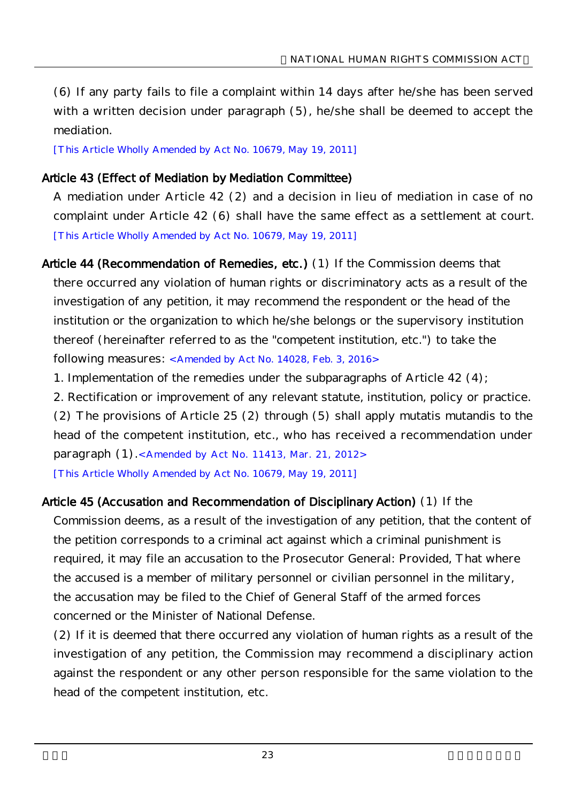(6) If any party fails to file a complaint within 14 days after he/she has been served with a written decision under paragraph (5), he/she shall be deemed to accept the mediation.

[This Article Wholly Amended by Act No. 10679, May 19, 2011]

#### Article 43 (Effect of Mediation by Mediation Committee)

A mediation under Article 42 (2) and a decision in lieu of mediation in case of no complaint under Article 42 (6) shall have the same effect as a settlement at court. [This Article Wholly Amended by Act No. 10679, May 19, 2011]

Article 44 (Recommendation of Remedies, etc.) (1) If the Commission deems that there occurred any violation of human rights or discriminatory acts as a result of the investigation of any petition, it may recommend the respondent or the head of the institution or the organization to which he/she belongs or the supervisory institution thereof (hereinafter referred to as the "competent institution, etc.") to take the following measures: <Amended by Act No. 14028, Feb. 3, 2016>

1. Implementation of the remedies under the subparagraphs of Article 42 (4);

2. Rectification or improvement of any relevant statute, institution, policy or practice. (2) The provisions of Article 25 (2) through (5) shall apply mutatis mutandis to the head of the competent institution, etc., who has received a recommendation under paragraph (1).<Amended by Act No. 11413, Mar. 21, 2012> [This Article Wholly Amended by Act No. 10679, May 19, 2011]

#### Article 45 (Accusation and Recommendation of Disciplinary Action) (1) If the

Commission deems, as a result of the investigation of any petition, that the content of the petition corresponds to a criminal act against which a criminal punishment is required, it may file an accusation to the Prosecutor General: Provided, That where the accused is a member of military personnel or civilian personnel in the military, the accusation may be filed to the Chief of General Staff of the armed forces concerned or the Minister of National Defense.

(2) If it is deemed that there occurred any violation of human rights as a result of the investigation of any petition, the Commission may recommend a disciplinary action against the respondent or any other person responsible for the same violation to the head of the competent institution, etc.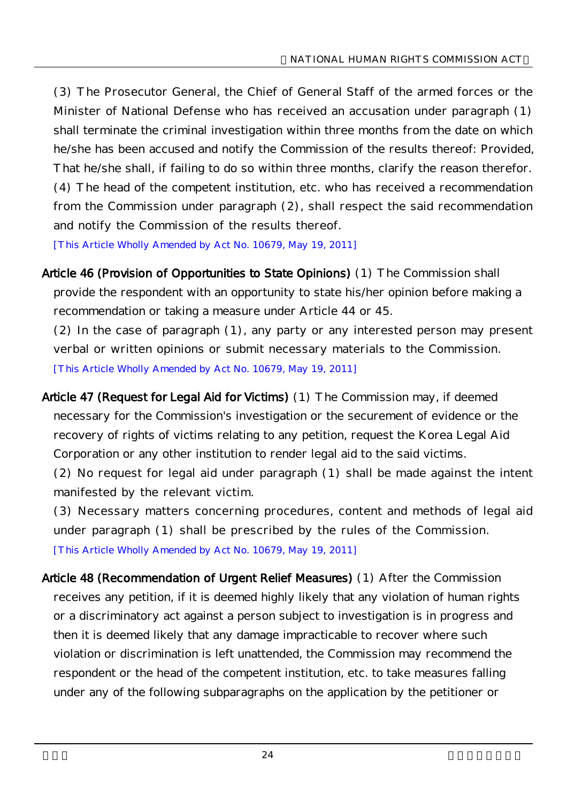(3) The Prosecutor General, the Chief of General Staff of the armed forces or the Minister of National Defense who has received an accusation under paragraph (1) shall terminate the criminal investigation within three months from the date on which he/she has been accused and notify the Commission of the results thereof: Provided, That he/she shall, if failing to do so within three months, clarify the reason therefor. (4) The head of the competent institution, etc. who has received a recommendation from the Commission under paragraph (2), shall respect the said recommendation and notify the Commission of the results thereof.

[This Article Wholly Amended by Act No. 10679, May 19, 2011]

Article 46 (Provision of Opportunities to State Opinions) (1) The Commission shall provide the respondent with an opportunity to state his/her opinion before making a recommendation or taking a measure under Article 44 or 45.

(2) In the case of paragraph (1), any party or any interested person may present verbal or written opinions or submit necessary materials to the Commission. [This Article Wholly Amended by Act No. 10679, May 19, 2011]

Article 47 (Request for Legal Aid for Victims) (1) The Commission may, if deemed necessary for the Commission's investigation or the securement of evidence or the recovery of rights of victims relating to any petition, request the Korea Legal Aid Corporation or any other institution to render legal aid to the said victims.

(2) No request for legal aid under paragraph (1) shall be made against the intent manifested by the relevant victim.

(3) Necessary matters concerning procedures, content and methods of legal aid under paragraph (1) shall be prescribed by the rules of the Commission. [This Article Wholly Amended by Act No. 10679, May 19, 2011]

Article 48 (Recommendation of Urgent Relief Measures) (1) After the Commission receives any petition, if it is deemed highly likely that any violation of human rights or a discriminatory act against a person subject to investigation is in progress and then it is deemed likely that any damage impracticable to recover where such violation or discrimination is left unattended, the Commission may recommend the respondent or the head of the competent institution, etc. to take measures falling under any of the following subparagraphs on the application by the petitioner or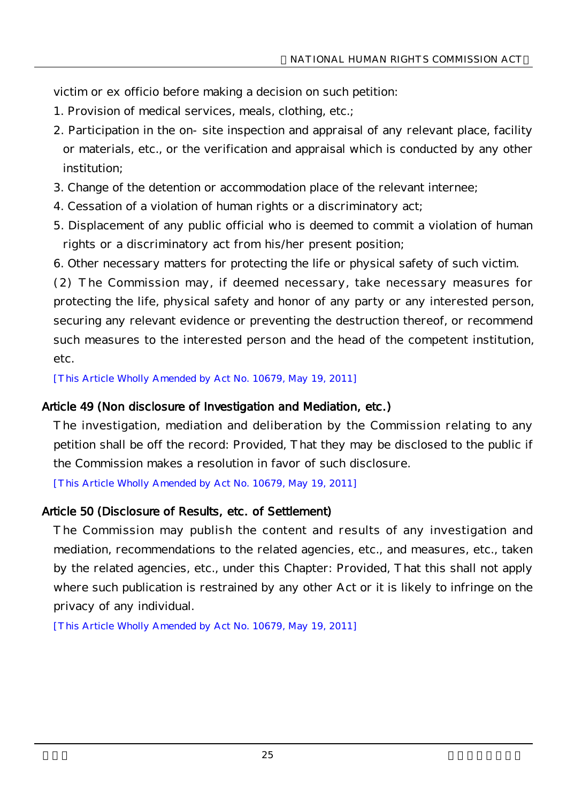victim or ex officio before making a decision on such petition:

- 1. Provision of medical services, meals, clothing, etc.;
- 2. Participation in the on-site inspection and appraisal of any relevant place, facility or materials, etc., or the verification and appraisal which is conducted by any other institution;
- 3. Change of the detention or accommodation place of the relevant internee;
- 4. Cessation of a violation of human rights or a discriminatory act;
- 5. Displacement of any public official who is deemed to commit a violation of human rights or a discriminatory act from his/her present position;
- 6. Other necessary matters for protecting the life or physical safety of such victim.

(2) The Commission may, if deemed necessary, take necessary measures for protecting the life, physical safety and honor of any party or any interested person, securing any relevant evidence or preventing the destruction thereof, or recommend such measures to the interested person and the head of the competent institution, etc.

[This Article Wholly Amended by Act No. 10679, May 19, 2011]

#### Article 49 (Non disclosure of Investigation and Mediation, etc.)

The investigation, mediation and deliberation by the Commission relating to any petition shall be off the record: Provided, That they may be disclosed to the public if the Commission makes a resolution in favor of such disclosure.

[This Article Wholly Amended by Act No. 10679, May 19, 2011]

#### Article 50 (Disclosure of Results, etc. of Settlement)

The Commission may publish the content and results of any investigation and mediation, recommendations to the related agencies, etc., and measures, etc., taken by the related agencies, etc., under this Chapter: Provided, That this shall not apply where such publication is restrained by any other Act or it is likely to infringe on the privacy of any individual.

[This Article Wholly Amended by Act No. 10679, May 19, 2011]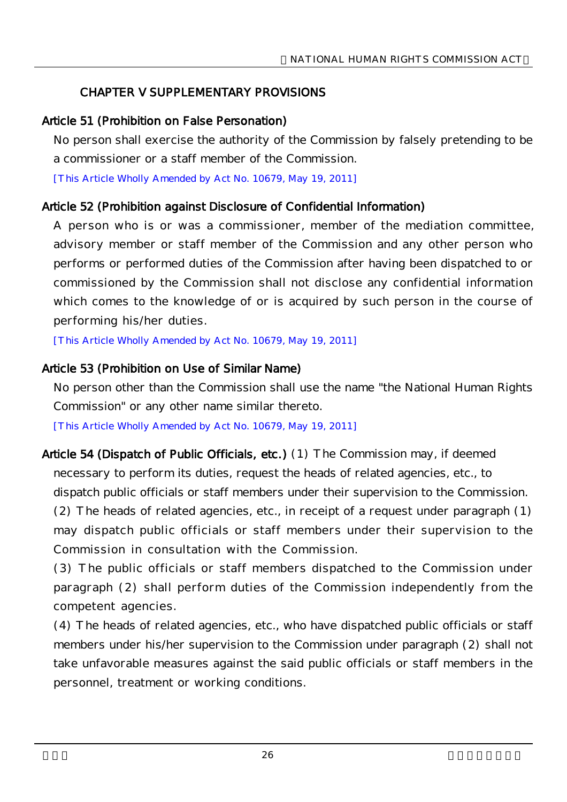## CHAPTER V SUPPLEMENTARY PROVISIONS

## Article 51 (Prohibition on False Personation)

No person shall exercise the authority of the Commission by falsely pretending to be a commissioner or a staff member of the Commission.

[This Article Wholly Amended by Act No. 10679, May 19, 2011]

## Article 52 (Prohibition against Disclosure of Confidential Information)

A person who is or was a commissioner, member of the mediation committee, advisory member or staff member of the Commission and any other person who performs or performed duties of the Commission after having been dispatched to or commissioned by the Commission shall not disclose any confidential information which comes to the knowledge of or is acquired by such person in the course of performing his/her duties.

[This Article Wholly Amended by Act No. 10679, May 19, 2011]

## Article 53 (Prohibition on Use of Similar Name)

No person other than the Commission shall use the name "the National Human Rights Commission" or any other name similar thereto.

[This Article Wholly Amended by Act No. 10679, May 19, 2011]

Article 54 (Dispatch of Public Officials, etc.) (1) The Commission may, if deemed necessary to perform its duties, request the heads of related agencies, etc., to dispatch public officials or staff members under their supervision to the Commission. (2) The heads of related agencies, etc., in receipt of a request under paragraph (1) may dispatch public officials or staff members under their supervision to the Commission in consultation with the Commission.

(3) The public officials or staff members dispatched to the Commission under paragraph (2) shall perform duties of the Commission independently from the competent agencies.

(4) The heads of related agencies, etc., who have dispatched public officials or staff members under his/her supervision to the Commission under paragraph (2) shall not take unfavorable measures against the said public officials or staff members in the personnel, treatment or working conditions.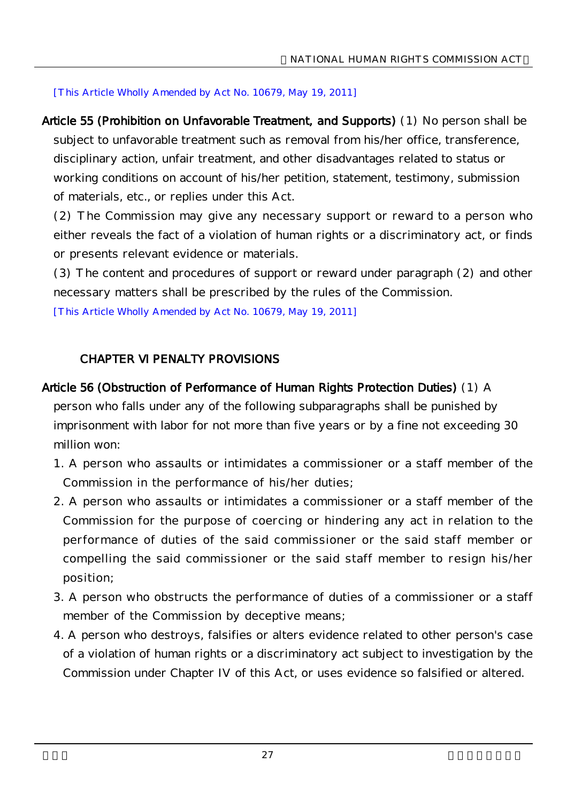[This Article Wholly Amended by Act No. 10679, May 19, 2011]

Article 55 (Prohibition on Unfavorable Treatment, and Supports) (1) No person shall be subject to unfavorable treatment such as removal from his/her office, transference, disciplinary action, unfair treatment, and other disadvantages related to status or working conditions on account of his/her petition, statement, testimony, submission of materials, etc., or replies under this Act.

(2) The Commission may give any necessary support or reward to a person who either reveals the fact of a violation of human rights or a discriminatory act, or finds or presents relevant evidence or materials.

(3) The content and procedures of support or reward under paragraph (2) and other necessary matters shall be prescribed by the rules of the Commission.

[This Article Wholly Amended by Act No. 10679, May 19, 2011]

## CHAPTER VI PENALTY PROVISIONS

#### Article 56 (Obstruction of Performance of Human Rights Protection Duties) (1) A

person who falls under any of the following subparagraphs shall be punished by imprisonment with labor for not more than five years or by a fine not exceeding 30 million won:

- 1. A person who assaults or intimidates a commissioner or a staff member of the Commission in the performance of his/her duties;
- 2. A person who assaults or intimidates a commissioner or a staff member of the Commission for the purpose of coercing or hindering any act in relation to the performance of duties of the said commissioner or the said staff member or compelling the said commissioner or the said staff member to resign his/her position;
- 3. A person who obstructs the performance of duties of a commissioner or a staff member of the Commission by deceptive means;
- 4. A person who destroys, falsifies or alters evidence related to other person's case of a violation of human rights or a discriminatory act subject to investigation by the Commission under Chapter IV of this Act, or uses evidence so falsified or altered.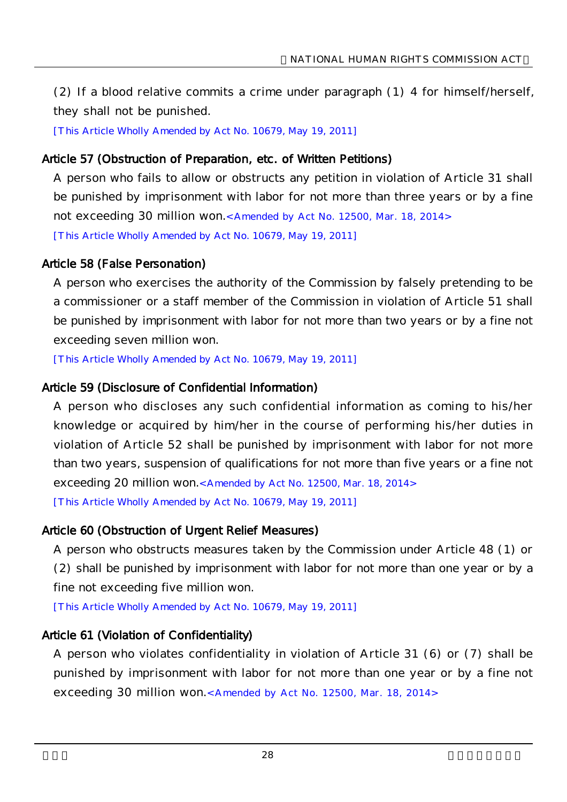(2) If a blood relative commits a crime under paragraph (1) 4 for himself/herself, they shall not be punished.

[This Article Wholly Amended by Act No. 10679, May 19, 2011]

#### Article 57 (Obstruction of Preparation, etc. of Written Petitions)

A person who fails to allow or obstructs any petition in violation of Article 31 shall be punished by imprisonment with labor for not more than three years or by a fine not exceeding 30 million won.<Amended by Act No. 12500, Mar. 18, 2014> [This Article Wholly Amended by Act No. 10679, May 19, 2011]

#### Article 58 (False Personation)

A person who exercises the authority of the Commission by falsely pretending to be a commissioner or a staff member of the Commission in violation of Article 51 shall be punished by imprisonment with labor for not more than two years or by a fine not exceeding seven million won.

[This Article Wholly Amended by Act No. 10679, May 19, 2011]

## Article 59 (Disclosure of Confidential Information)

A person who discloses any such confidential information as coming to his/her knowledge or acquired by him/her in the course of performing his/her duties in violation of Article 52 shall be punished by imprisonment with labor for not more than two years, suspension of qualifications for not more than five years or a fine not exceeding 20 million won.< Amended by Act No. 12500, Mar. 18, 2014> [This Article Wholly Amended by Act No. 10679, May 19, 2011]

## Article 60 (Obstruction of Urgent Relief Measures)

A person who obstructs measures taken by the Commission under Article 48 (1) or (2) shall be punished by imprisonment with labor for not more than one year or by a fine not exceeding five million won.

[This Article Wholly Amended by Act No. 10679, May 19, 2011]

## Article 61 (Violation of Confidentiality)

A person who violates confidentiality in violation of Article 31 (6) or (7) shall be punished by imprisonment with labor for not more than one year or by a fine not exceeding 30 million won.< Amended by Act No. 12500, Mar. 18, 2014>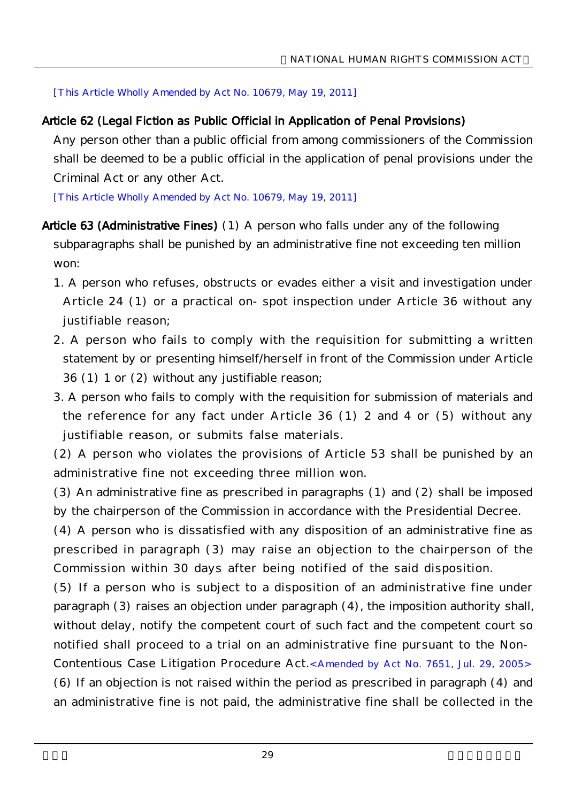[This Article Wholly Amended by Act No. 10679, May 19, 2011]

## Article 62 (Legal Fiction as Public Official in Application of Penal Provisions)

Any person other than a public official from among commissioners of the Commission shall be deemed to be a public official in the application of penal provisions under the Criminal Act or any other Act.

[This Article Wholly Amended by Act No. 10679, May 19, 2011]

- Article 63 (Administrative Fines) (1) A person who falls under any of the following subparagraphs shall be punished by an administrative fine not exceeding ten million won:
	- 1. A person who refuses, obstructs or evades either a visit and investigation under Article 24 (1) or a practical on-spot inspection under Article 36 without any justifiable reason;
	- 2. A person who fails to comply with the requisition for submitting a written statement by or presenting himself/herself in front of the Commission under Article 36 (1) 1 or (2) without any justifiable reason;
	- 3. A person who fails to comply with the requisition for submission of materials and the reference for any fact under Article 36 (1) 2 and 4 or (5) without any justifiable reason, or submits false materials.

(2) A person who violates the provisions of Article 53 shall be punished by an administrative fine not exceeding three million won.

(3) An administrative fine as prescribed in paragraphs (1) and (2) shall be imposed by the chairperson of the Commission in accordance with the Presidential Decree.

(4) A person who is dissatisfied with any disposition of an administrative fine as prescribed in paragraph (3) may raise an objection to the chairperson of the Commission within 30 days after being notified of the said disposition.

(5) If a person who is subject to a disposition of an administrative fine under paragraph (3) raises an objection under paragraph (4), the imposition authority shall, without delay, notify the competent court of such fact and the competent court so notified shall proceed to a trial on an administrative fine pursuant to the Non-

Contentious Case Litigation Procedure Act.<Amended by Act No. 7651, Jul. 29, 2005> (6) If an objection is not raised within the period as prescribed in paragraph (4) and an administrative fine is not paid, the administrative fine shall be collected in the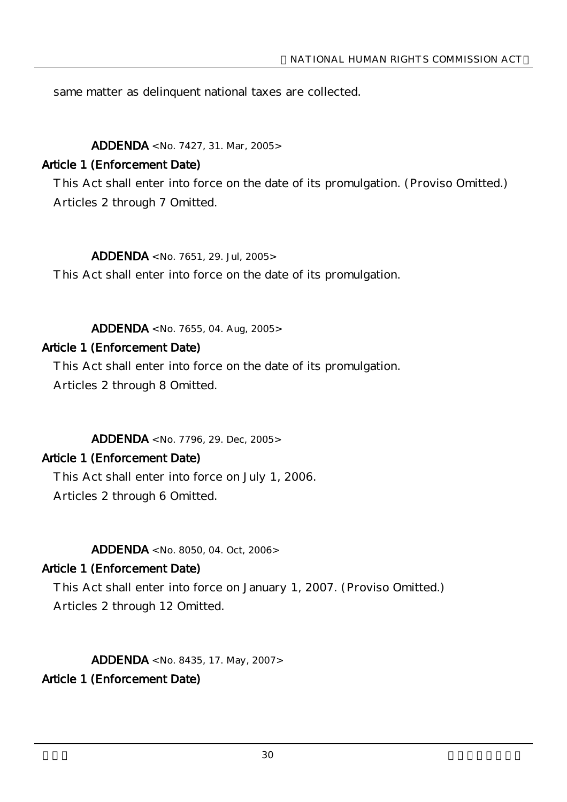same matter as delinquent national taxes are collected.

#### ADDENDA <No. 7427, 31. Mar, 2005>

### Article 1 (Enforcement Date)

This Act shall enter into force on the date of its promulgation. (Proviso Omitted.) Articles 2 through 7 Omitted.

 $ADDENDA < No. 7651, 29.$  Jul,  $2005>$ 

This Act shall enter into force on the date of its promulgation.

ADDENDA < No. 7655, 04. Aug, 2005>

### Article 1 (Enforcement Date)

This Act shall enter into force on the date of its promulgation. Articles 2 through 8 Omitted.

ADDENDA <No. 7796, 29. Dec, 2005>

#### Article 1 (Enforcement Date)

This Act shall enter into force on July 1, 2006. Articles 2 through 6 Omitted.

#### ADDENDA < No. 8050, 04. Oct, 2006>

## Article 1 (Enforcement Date)

This Act shall enter into force on January 1, 2007. (Proviso Omitted.) Articles 2 through 12 Omitted.

ADDENDA < No. 8435, 17. May, 2007>

## Article 1 (Enforcement Date)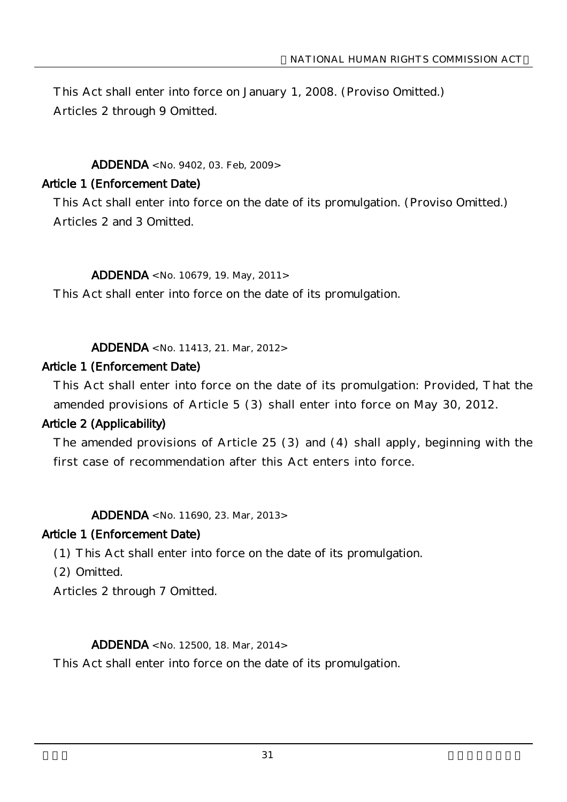This Act shall enter into force on January 1, 2008. (Proviso Omitted.) Articles 2 through 9 Omitted.

### ADDENDA <No. 9402, 03. Feb, 2009>

### Article 1 (Enforcement Date)

This Act shall enter into force on the date of its promulgation. (Proviso Omitted.) Articles 2 and 3 Omitted.

#### ADDENDA <No. 10679, 19. May, 2011>

This Act shall enter into force on the date of its promulgation.

ADDENDA <No. 11413, 21. Mar, 2012>

#### Article 1 (Enforcement Date)

This Act shall enter into force on the date of its promulgation: Provided, That the amended provisions of Article 5 (3) shall enter into force on May 30, 2012.

#### Article 2 (Applicability)

The amended provisions of Article 25 (3) and (4) shall apply, beginning with the first case of recommendation after this Act enters into force.

ADDENDA <No. 11690, 23. Mar, 2013>

#### Article 1 (Enforcement Date)

(1) This Act shall enter into force on the date of its promulgation.

(2) Omitted.

Articles 2 through 7 Omitted.

#### ADDENDA <No. 12500, 18. Mar, 2014>

This Act shall enter into force on the date of its promulgation.